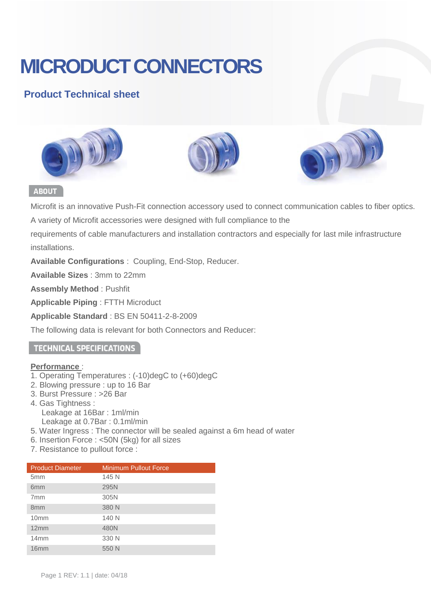# **MICRODUCT CONNECTORS**

### **Product Technical sheet**







#### **ABOUT**

Microfit is an innovative Push-Fit connection accessory used to connect communication cables to fiber optics.

A variety of Microfit accessories were designed with full compliance to the

requirements of cable manufacturers and installation contractors and especially for last mile infrastructure installations.

**Available Configurations** : Coupling, End-Stop, Reducer.

**Available Sizes** : 3mm to 22mm

**Assembly Method** : Pushfit

**Applicable Piping** : FTTH Microduct

**Applicable Standard** : BS EN 50411-2-8-2009

The following data is relevant for both Connectors and Reducer:

#### **TECHNICAL SPECIFICATIONS**

#### **Performance** :

- 1. Operating Temperatures : (-10)degC to (+60)degC
- 2. Blowing pressure : up to 16 Bar
- 3. Burst Pressure : >26 Bar
- 4. Gas Tightness : Leakage at 16Bar : 1ml/min
	- Leakage at 0.7Bar : 0.1ml/min
- 5. Water Ingress : The connector will be sealed against a 6m head of water
- 6. Insertion Force : <50N (5kg) for all sizes
- 7. Resistance to pullout force :

| <b>Product Diameter</b> | <b>Minimum Pullout Force</b> |
|-------------------------|------------------------------|
| 5 <sub>mm</sub>         | 145 N                        |
| 6 <sub>mm</sub>         | 295N                         |
| 7 <sub>mm</sub>         | 305N                         |
| 8 <sub>mm</sub>         | 380 N                        |
| 10 <sub>mm</sub>        | 140 N                        |
| 12mm                    | 480N                         |
| 14mm                    | 330 N                        |
| 16mm                    | 550 N                        |